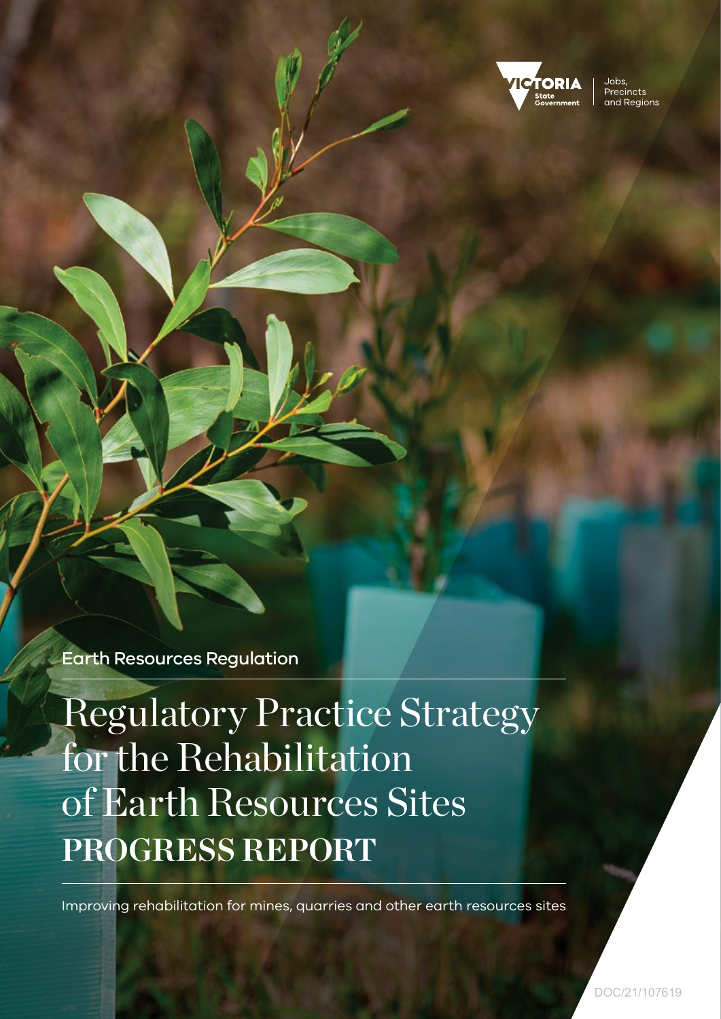

Jobs Precincts and Regions

Earth Resources Regulation

Regulatory Practice Strategy for the Rehabilitation of Earth Resources Sites **PROGRESS REPORT**

Improving rehabilitation for mines, quarries and other earth resources sites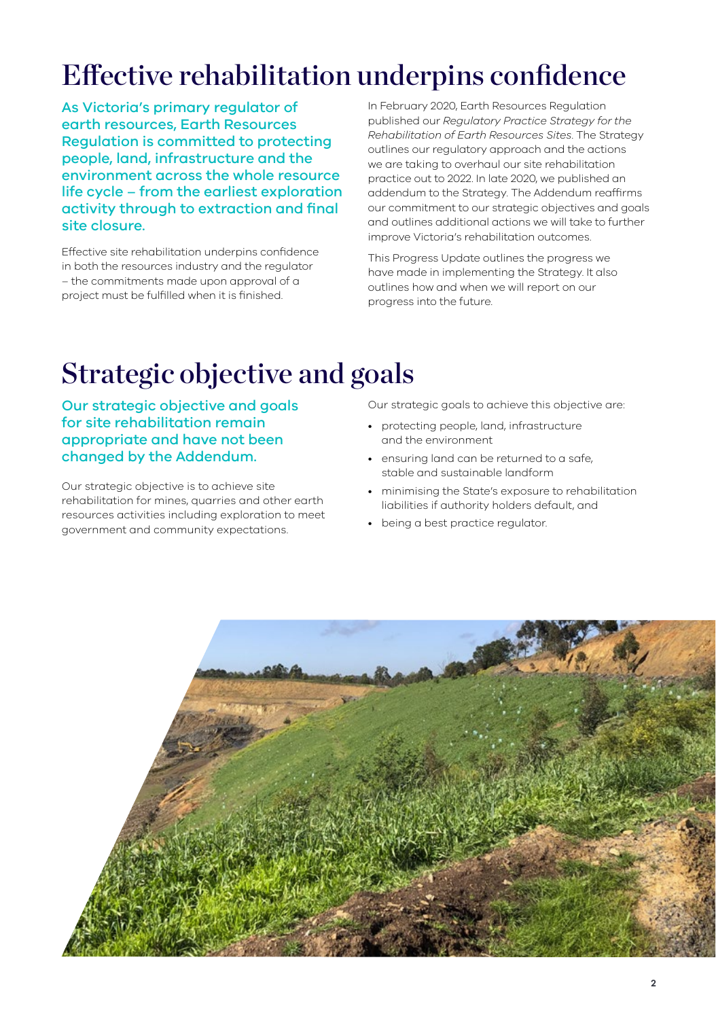# Effective rehabilitation underpins confidence

As Victoria's primary regulator of earth resources, Earth Resources Regulation is committed to protecting people, land, infrastructure and the environment across the whole resource life cycle – from the earliest exploration activity through to extraction and final site closure.

Effective site rehabilitation underpins confidence in both the resources industry and the regulator – the commitments made upon approval of a project must be fulfilled when it is finished.

In February 2020, Earth Resources Regulation published our *Regulatory Practice Strategy for the Rehabilitation of Earth Resources Sites*. The Strategy outlines our regulatory approach and the actions we are taking to overhaul our site rehabilitation practice out to 2022. In late 2020, we published an addendum to the Strategy. The Addendum reaffirms our commitment to our strategic objectives and goals and outlines additional actions we will take to further improve Victoria's rehabilitation outcomes.

This Progress Update outlines the progress we have made in implementing the Strategy. It also outlines how and when we will report on our progress into the future.

# Strategic objective and goals

Our strategic objective and goals for site rehabilitation remain appropriate and have not been changed by the Addendum.

Our strategic objective is to achieve site rehabilitation for mines, quarries and other earth resources activities including exploration to meet government and community expectations.

Our strategic goals to achieve this objective are:

- protecting people, land, infrastructure and the environment
- ensuring land can be returned to a safe, stable and sustainable landform
- minimising the State's exposure to rehabilitation liabilities if authority holders default, and
- being a best practice regulator.

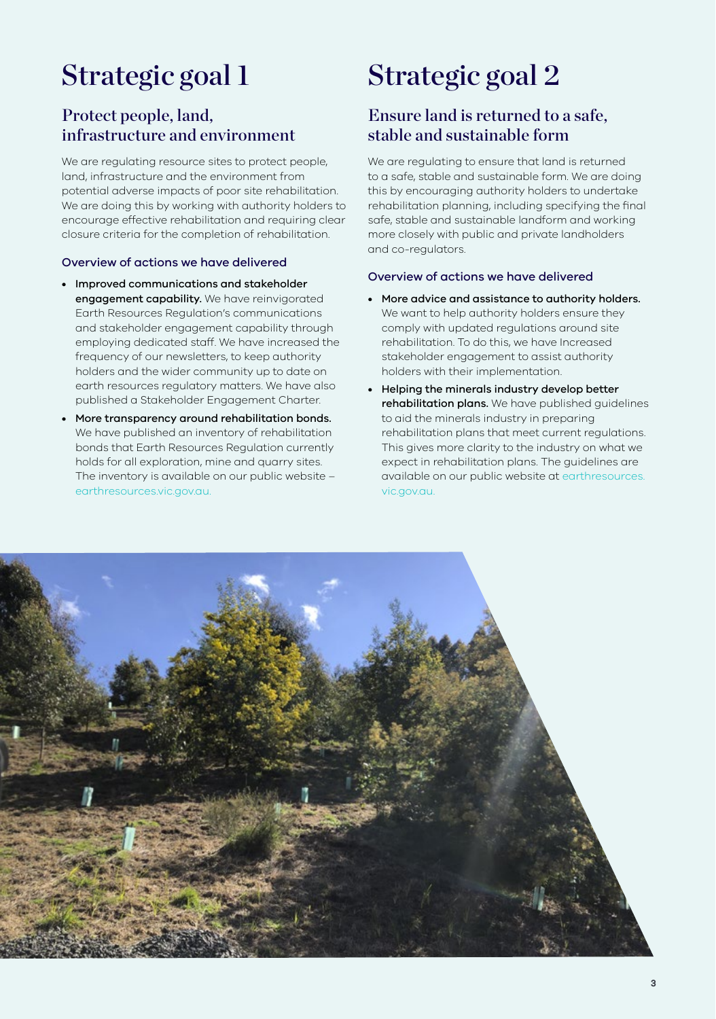# Strategic goal 1

### Protect people, land, infrastructure and environment

We are regulating resource sites to protect people, land, infrastructure and the environment from potential adverse impacts of poor site rehabilitation. We are doing this by working with authority holders to encourage effective rehabilitation and requiring clear closure criteria for the completion of rehabilitation.

### Overview of actions we have delivered

- Improved communications and stakeholder engagement capability. We have reinvigorated Earth Resources Regulation's communications and stakeholder engagement capability through employing dedicated staff. We have increased the frequency of our newsletters, to keep authority holders and the wider community up to date on earth resources regulatory matters. We have also published a Stakeholder Engagement Charter.
- More transparency around rehabilitation bonds. We have published an inventory of rehabilitation bonds that Earth Resources Regulation currently holds for all exploration, mine and quarry sites. The inventory is available on our public website – [earthresources.vic.gov.au.](http://earthresources.vic.gov.au)

## Strategic goal 2

## Ensure land is returned to a safe, stable and sustainable form

We are regulating to ensure that land is returned to a safe, stable and sustainable form. We are doing this by encouraging authority holders to undertake rehabilitation planning, including specifying the final safe, stable and sustainable landform and working more closely with public and private landholders and co-regulators.

### Overview of actions we have delivered

- More advice and assistance to authority holders. We want to help authority holders ensure they comply with updated regulations around site rehabilitation. To do this, we have Increased stakeholder engagement to assist authority holders with their implementation.
- Helping the minerals industry develop better rehabilitation plans. We have published guidelines to aid the minerals industry in preparing rehabilitation plans that meet current regulations. This gives more clarity to the industry on what we expect in rehabilitation plans. The guidelines are available on our public website at [earthresources.](http://earthresources.vic.gov.au) [vic.gov.au.](http://earthresources.vic.gov.au)

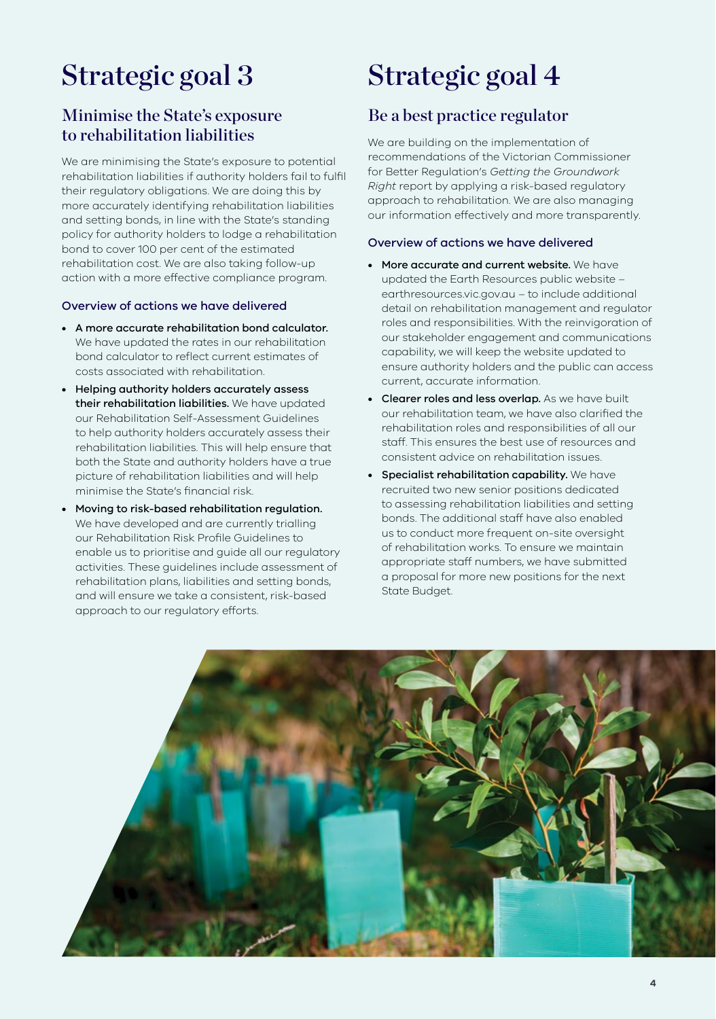# Strategic goal 3

### Minimise the State's exposure to rehabilitation liabilities

We are minimising the State's exposure to potential rehabilitation liabilities if authority holders fail to fulfil their regulatory obligations. We are doing this by more accurately identifying rehabilitation liabilities and setting bonds, in line with the State's standing policy for authority holders to lodge a rehabilitation bond to cover 100 per cent of the estimated rehabilitation cost. We are also taking follow-up action with a more effective compliance program.

### Overview of actions we have delivered

- A more accurate rehabilitation bond calculator. We have updated the rates in our rehabilitation bond calculator to reflect current estimates of costs associated with rehabilitation.
- Helping authority holders accurately assess their rehabilitation liabilities. We have updated our Rehabilitation Self-Assessment Guidelines to help authority holders accurately assess their rehabilitation liabilities. This will help ensure that both the State and authority holders have a true picture of rehabilitation liabilities and will help minimise the State's financial risk.
- Moving to risk-based rehabilitation regulation. We have developed and are currently trialling our Rehabilitation Risk Profile Guidelines to enable us to prioritise and guide all our regulatory activities. These guidelines include assessment of rehabilitation plans, liabilities and setting bonds, and will ensure we take a consistent, risk-based approach to our regulatory efforts.

## Strategic goal 4

### Be a best practice regulator

We are building on the implementation of recommendations of the Victorian Commissioner for Better Regulation's *Getting the Groundwork Right* report by applying a risk-based regulatory approach to rehabilitation. We are also managing our information effectively and more transparently.

#### Overview of actions we have delivered

- More accurate and current website. We have updated the Earth Resources public website – earthresources.vic.gov.au – to include additional detail on rehabilitation management and regulator roles and responsibilities. With the reinvigoration of our stakeholder engagement and communications capability, we will keep the website updated to ensure authority holders and the public can access current, accurate information.
- Clearer roles and less overlap. As we have built our rehabilitation team, we have also clarified the rehabilitation roles and responsibilities of all our staff. This ensures the best use of resources and consistent advice on rehabilitation issues.
- Specialist rehabilitation capability. We have recruited two new senior positions dedicated to assessing rehabilitation liabilities and setting bonds. The additional staff have also enabled us to conduct more frequent on-site oversight of rehabilitation works. To ensure we maintain appropriate staff numbers, we have submitted a proposal for more new positions for the next State Budget.